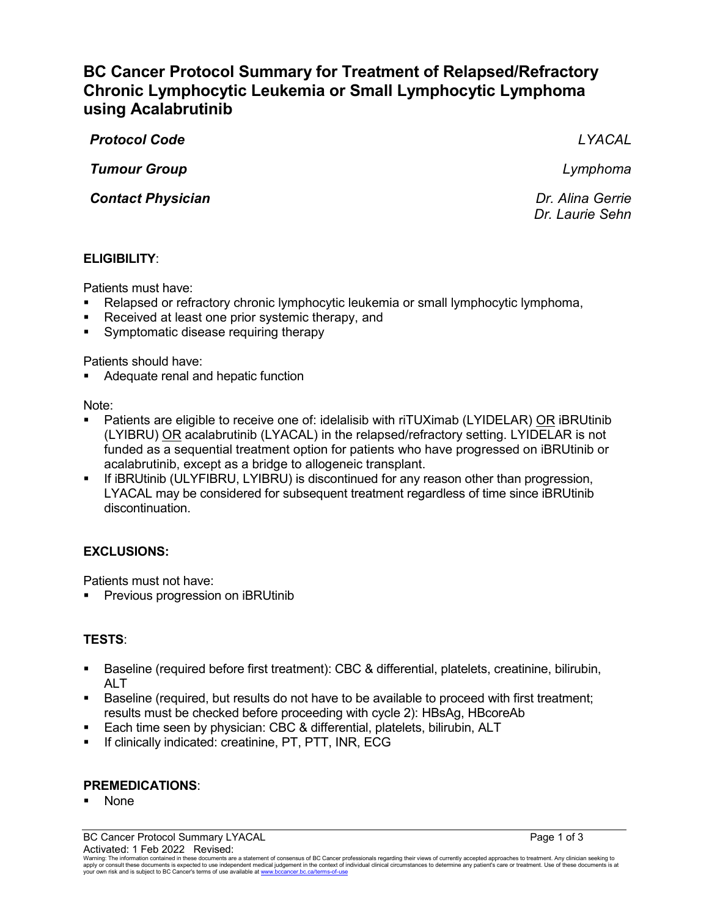# **BC Cancer Protocol Summary for Treatment of Relapsed/Refractory Chronic Lymphocytic Leukemia or Small Lymphocytic Lymphoma using Acalabrutinib**

*Protocol Code LYACAL*

*Tumour Group Lymphoma*

**Contact Physician** *Contact Physician Dr. Alina Gerrie* 

*Dr. Laurie Sehn*

# **ELIGIBILITY**:

Patients must have:

- Relapsed or refractory chronic lymphocytic leukemia or small lymphocytic lymphoma,
- Received at least one prior systemic therapy, and
- Symptomatic disease requiring therapy

Patients should have:

Adequate renal and hepatic function

Note:

- Patients are eligible to receive one of: idelalisib with riTUXimab (LYIDELAR) OR iBRUtinib (LYIBRU) OR acalabrutinib (LYACAL) in the relapsed/refractory setting. LYIDELAR is not funded as a sequential treatment option for patients who have progressed on iBRUtinib or acalabrutinib, except as a bridge to allogeneic transplant.
- If iBRUtinib (ULYFIBRU, LYIBRU) is discontinued for any reason other than progression, LYACAL may be considered for subsequent treatment regardless of time since iBRUtinib discontinuation.

# **EXCLUSIONS:**

Patients must not have:

Previous progression on iBRUtinib

# **TESTS**:

- Baseline (required before first treatment): CBC & differential, platelets, creatinine, bilirubin, ALT
- Baseline (required, but results do not have to be available to proceed with first treatment; results must be checked before proceeding with cycle 2): HBsAg, HBcoreAb
- Each time seen by physician: CBC & differential, platelets, bilirubin, ALT
- **If clinically indicated: creatinine, PT, PTT, INR, ECG**

# **PREMEDICATIONS**:

None

Warning: The information contained in these documents are a statement of consensus of BC Cancer professionals regarding their views of currently accepted approaches to treatment. Any clinicial sexpected by the sector of th your own risk and is subject to BC Cancer's terms of use available at www.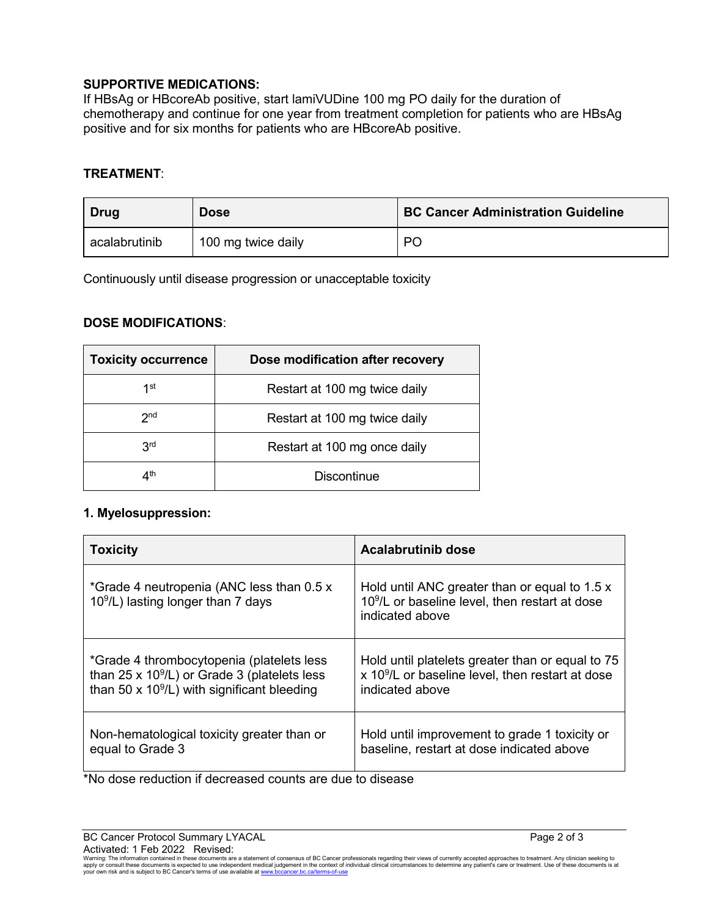## **SUPPORTIVE MEDICATIONS:**

If HBsAg or HBcoreAb positive, start lamiVUDine 100 mg PO daily for the duration of chemotherapy and continue for one year from treatment completion for patients who are HBsAg positive and for six months for patients who are HBcoreAb positive.

## **TREATMENT**:

| Drug          | <b>Dose</b>        | <b>BC Cancer Administration Guideline</b> |
|---------------|--------------------|-------------------------------------------|
| acalabrutinib | 100 mg twice daily | P <sub>C</sub>                            |

Continuously until disease progression or unacceptable toxicity

## **DOSE MODIFICATIONS**:

| <b>Toxicity occurrence</b> | Dose modification after recovery |
|----------------------------|----------------------------------|
| 1st                        | Restart at 100 mg twice daily    |
| 2 <sub>nd</sub>            | Restart at 100 mg twice daily    |
| 3 <sup>rd</sup>            | Restart at 100 mg once daily     |
| ⊿th                        | <b>Discontinue</b>               |

# **1. Myelosuppression:**

| <b>Toxicity</b>                                                                   | <b>Acalabrutinib dose</b>                                                                                                      |
|-----------------------------------------------------------------------------------|--------------------------------------------------------------------------------------------------------------------------------|
| *Grade 4 neutropenia (ANC less than 0.5 x<br>$109/L$ ) lasting longer than 7 days | Hold until ANC greater than or equal to 1.5 x<br>10 <sup>9</sup> /L or baseline level, then restart at dose<br>indicated above |
| *Grade 4 thrombocytopenia (platelets less                                         | Hold until platelets greater than or equal to 75                                                                               |
| than $25 \times 10^9$ /L) or Grade 3 (platelets less                              | x 10 <sup>9</sup> /L or baseline level, then restart at dose                                                                   |
| than 50 $\times$ 10 <sup>9</sup> /L) with significant bleeding                    | indicated above                                                                                                                |
| Non-hematological toxicity greater than or                                        | Hold until improvement to grade 1 toxicity or                                                                                  |
| equal to Grade 3                                                                  | baseline, restart at dose indicated above                                                                                      |

\*No dose reduction if decreased counts are due to disease

Warning: The information contained in these documents are a statement of consensus of BC Cancer professionals regarding their views of currently accepted approaches to treatment. Any clinician seeking to<br>apply or consult t